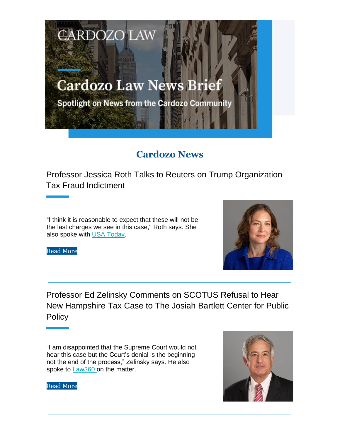## **Cardozo Law News Brief**

**CARDOZO LAW** 

Spotlight on News from the Cardozo Community

## **Cardozo News**

Professor Jessica Roth Talks to Reuters on Trump Organization Tax Fraud Indictment

"I think it is reasonable to expect that these will not be the last charges we see in this case," Roth says. She also spoke with USA Today.



Read More

Professor Ed Zelinsky Comments on SCOTUS Refusal to Hear New Hampshire Tax Case to The Josiah Bartlett Center for Public **Policy** 

"I am disappointed that the Supreme Court would not hear this case but the Court's denial is the beginning not the end of the process," Zelinsky says. He also spoke to Law360 on the matter.



Read More